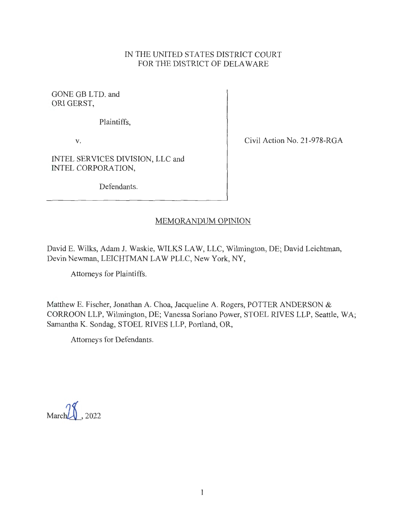## IN THE UNITED STATES DISTRICT COURT FOR THE DISTRICT OF DELAWARE

GONE GB LTD. and ORI GERST,

Plaintiffs,

**V.** 

Civil Action No. 21-978-RGA

INTEL SERVICES DIVISION, LLC and INTEL CORPORATION,

Defendants.

## MEMORANDUM OPINION

David E. Wilks, Adam J. Waskie, WILKS LAW, LLC, Wilmington, DE; David Leichtman, Devin Newman, LEICHTMAN LAW PLLC, New York, NY,

Attorneys for Plaintiffs.

Matthew E. Fischer, Jonathan A. Choa, Jacqueline A. Rogers, POTTER ANDERSON & CORROON LLP, Wilmington, DE; Vanessa Soriano Power, STOEL RIVES LLP, Seattle, WA; Samantha K. Sondag, STOEL RIVES LLP, Portland, OR,

Attorneys for Defendants.

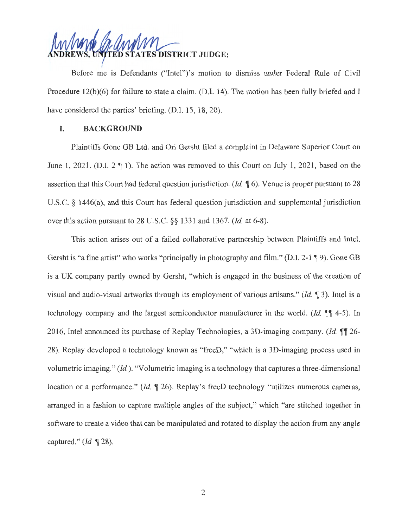**~~ RICT JUDGE:** 

Before me is Defendants ("Intel")'s motion to dismiss under Federal Rule of Civil Procedure 12(b)(6) for failure to state a claim. (D.I. 14). The motion has been fully briefed and I have considered the parties' briefing. (D.I. 15, 18, 20).

## **I. BACKGROUND**

Plaintiffs Gone GB Ltd. and Ori Gersht filed a complaint in Delaware Superior Court on June 1, 2021. (D.I.  $2 \nsubseteq 1$ ). The action was removed to this Court on July 1, 2021, based on the assertion that this Court had federal question jurisdiction. *(Id.* 16). Venue is proper pursuant to 28 U.S.C. § 1446(a), and this Court has federal question jurisdiction and supplemental jurisdiction over this action pursuant to 28 U.S.C. §§ 1331 and 1367. *(Id.* at 6-8).

This action arises out of a failed collaborative partnership between Plaintiffs and Intel. Gersht is "a fine artist" who works "principally in photography and film." (D.I. 2-1 ¶ 9). Gone GB is a UK company partly owned by Gersht, "which is engaged in the business of the creation of visual and audio-visual artworks through its employment of various artisans." *(Id.* **1** 3). Intel is a technology company and the largest semiconductor manufacturer in the world. *(Id.*  $\mathbb{I}$  4-5). In 2016, Intel announced its purchase of Replay Technologies, a 3D-imaging company. *(Id.* **11** 26-28). Replay developed a technology known as "freeD," "which is a 3D-imaging process used in volumetric imaging." *(Id.).* "Volumetric imaging is a technology that captures a three-dimensional location or a performance." *(Id.* 126). Replay's freeD technology "utilizes numerous cameras, arranged in a fashion to capture multiple angles of the subject," which "are stitched together in software to create a video that can be manipulated and rotated to display the action from any angle captured." *(Id.* **,r** 28).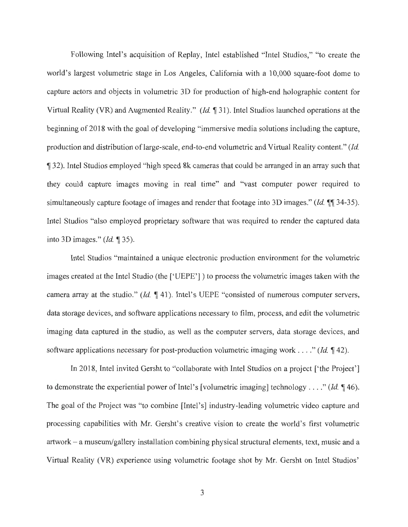Following Intel's acquisition of Replay, Intel established "Intel Studios," "to create the world's largest volumetric stage in Los Angeles, California with a 10,000 square-foot dome to capture actors and objects in volumetric 3D for production of high-end holographic content for Virtual Reality (VR) and Augmented Reality." *(Id.* 131). Intel Studios launched operations at the beginning of 2018 with the goal of developing "immersive media solutions including the capture, production and distribution of large-scale, end-to-end volumetric and Virtual Reality content." *(Id.* 132). Intel Studios employed "high speed 8k cameras that could be arranged in an array such that they could capture images moving in real time" and "vast computer power required to simultaneously capture footage of images and render that footage into 3D images." *(Id.* 1144-35). Intel Studios "also employed proprietary software that was required to render the captured data into 3D images." *(Id.* **135).** 

Intel Studios "maintained a unique electronic production environment for the volumetric images created at the Intel Studio (the ['UEPE']) to process the volumetric images taken with the camera array at the studio." *(Id.* **1** 41). Intel's UEPE "consisted of numerous computer servers, data storage devices, and software applications necessary to film, process, and edit the volumetric imaging data captured in the studio, as well as the computer servers, data storage devices, and software applications necessary for post-production volumetric imaging work . . . ." *(Id.* 142).

In 2018, Intel invited Gersht to "collaborate with Intel Studios on a project ['the Project'] to demonstrate the experiential power of Intel's [volumetric imaging] technology ...." *(Id.*  $\P$  46). The goal of the Project was "to combine [Intel's] industry-leading volumetric video capture and processing capabilities with Mr. Gersht's creative vision to create the world's first volumetric artwork - a museum/gallery installation combining physical structural elements, text, music and a Virtual Reality (VR) experience using volumetric footage shot by Mr. Gersht on Intel Studios'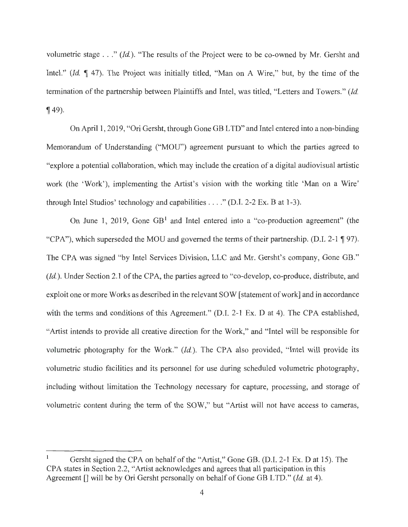volumetric stage . . . " *(Id.).* "The results of the Project were to be co-owned by Mr. Gersht and Intel." *(Id.* 147). The Project was initially titled, "Man on A Wire," but, by the time of the termination of the partnership between Plaintiffs and Intel, was titled, "Letters and Towers." *(Id.*  **149**).

On April 1, 2019, "Ori Gersht, through Gone GB LTD" and Intel entered into anon-binding Memorandum of Understanding ("MOU") agreement pursuant to which the parties agreed to "explore a potential collaboration, which may include the creation of a digital audiovisual artistic work (the 'Work'), implementing the Artist's vision with the working title 'Man on a Wire' through Intel Studios' technology and capabilities  $\dots$ ." (D.I. 2-2 Ex. B at 1-3).

On June 1, 2019, Gone  $GB<sup>1</sup>$  and Intel entered into a "co-production agreement" (the "CPA"), which superseded the MOU and governed the terms of their partnership. (D.I. 2-1 ¶ 97). The CPA was signed "by Intel Services Division, LLC and Mr. Gersht's company, Gone GB." *(Id.).* Under Section 2.1 of the CPA, the parties agreed to "co-develop, co-produce, distribute, and exploit one or more Works as described in the relevant SOW [statement of work] and in accordance with the terms and conditions of this Agreement." (D.I. 2-1 Ex. D at 4). The CPA established, "Artist intends to provide all creative direction for the Work," and "Intel will be responsible for volumetric photography for the Work." *(Id.).* The CPA also provided, "Intel will provide its volumetric studio facilities and its personnel for use during scheduled volumetric photography, including without limitation the Technology necessary for capture, processing, and storage of volumetric content during the term of the SOW," but "Artist will not have access to cameras,

Gersht signed the CPA on behalf of the "Artist," Gone GB. (D.I. 2-1 Ex. D at 15). The CPA states in Section 2.2, "Artist acknowledges and agrees that all participation in this Agreement [] will be by Ori Gersht personally on behalf of Gone GB LTD." *(Id.* at 4).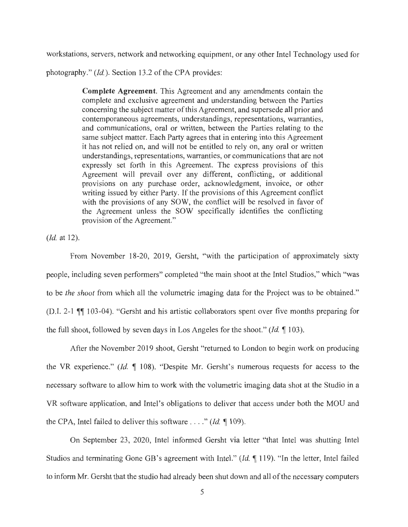workstations, servers, network and networking equipment, or any other Intel Technology used for

photography." *(Id.).* Section 13 .2 of the CPA provides:

**Complete Agreement.** This Agreement and any amendments contain the complete and exclusive agreement and understanding between the Parties concerning the subject matter of this Agreement, and supersede all prior and contemporaneous agreements, understandings, representations, warranties, and communications, oral or written, between the Parties relating to the same subject matter. Each Party agrees that in entering into this Agreement it has not relied on, and will not be entitled to rely on, any oral or written understandings, representations, warranties, or communications that are not expressly set forth in this Agreement. The express provisions of this Agreement will prevail over any different, conflicting, or additional provisions on any purchase order, acknowledgment, invoice, or other writing issued by either Party. If the provisions of this Agreement conflict with the provisions of any SOW, the conflict will be resolved in favor of the Agreement unless the SOW specifically identifies the conflicting provision of the Agreement."

*(Id.* at 12).

From November 18-20, 2019, Gersht, "with the participation of approximately sixty people, including seven performers" completed "the main shoot at the Intel Studios," which "was to be *the shoot* from which all the volumetric imaging data for the Project was to be obtained." (D.I. 2-1  $\mathbb{I}$  103-04). "Gersht and his artistic collaborators spent over five months preparing for the full shoot, followed by seven days in Los Angeles for the shoot." *(Id.*  $\llbracket$  103).

After the November 2019 shoot, Gersht "returned to London to begin work on producing the VR experience." *(Id.*  $\llbracket$  108). "Despite Mr. Gersht's numerous requests for access to the necessary software to allow him to work with the volumetric imaging data shot at the Studio in a VR software application, and Intel's obligations to deliver that access under both the MOU and the CPA, Intel failed to deliver this software  $\dots$  " *(Id.*  $\text{\textsf{T}}$  109).

On September 23, 2020, Intel informed Gersht via letter "that Intel was shutting Intel Studios and terminating Gone GB's agreement with Intel." *(Id.* 119). "In the letter, Intel failed to inform Mr. Gersht that the studio had already been shut down and all of the necessary computers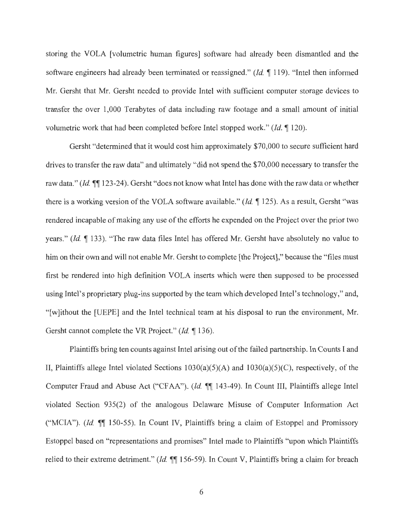storing the VOLA [volumetric human figures] software had already been dismantled and the software engineers had already been terminated or reassigned." *(Id.* 119). "Intel then informed Mr. Gersht that Mr. Gersht needed to provide Intel with sufficient computer storage devices to transfer the over 1,000 Terabytes of data including raw footage and a small amount of initial volumetric work that had been completed before Intel stopped work." *(Id.* 120).

Gersht "determined that it would cost him approximately \$70,000 to secure sufficient hard drives to transfer the raw data" and ultimately "did not spend the \$70,000 necessary to transfer the raw data." *(Id.*  $\P$ <sup>123-24). Gersht "does not know what Intel has done with the raw data or whether</sup> there is a working version of the VOLA software available." *(Id.* 125). As a result, Gersht "was rendered incapable of making any use of the efforts he expended on the Project over the prior two years." *(Id.* 133). "The raw data files Intel has offered Mr. Gersht have absolutely no value to him on their own and will not enable Mr. Gersht to complete [the Project]," because the "files must first be rendered into high definition VOLA inserts which were then supposed to be processed using Intel's proprietary plug-ins supported by the team which developed Intel's technology," and, "[w]ithout the [UEPE] and the Intel technical team at his disposal to run the environment, Mr. Gersht cannot complete the VR Project." *(Id.* 136).

Plaintiffs bring ten counts against Intel arising out of the failed partnership. In Counts I and II, Plaintiffs allege Intel violated Sections  $1030(a)(5)(A)$  and  $1030(a)(5)(C)$ , respectively, of the Computer Fraud and Abuse Act ("CFAA"). *(Id.*  $\P$  143-49). In Count III, Plaintiffs allege Intel violated Section 935(2) of the analogous Delaware Misuse of Computer Information Act ("MCIA"). *(Id.*  $\P$  150-55). In Count IV, Plaintiffs bring a claim of Estoppel and Promissory Estoppel based on "representations and promises" Intel made to Plaintiffs "upon which Plaintiffs relied to their extreme detriment." *(Id.*  $\P$ ] 156-59). In Count V, Plaintiffs bring a claim for breach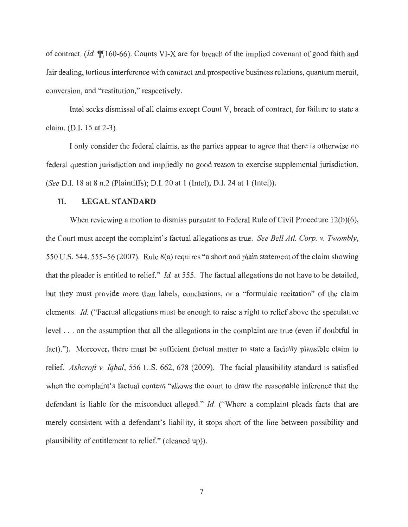of contract. *(Id.* ifif160-66). Counts VI-X are for breach of the implied covenant of good faith and fair dealing, tortious interference with contract and prospective business relations, quantum meruit, conversion, and "restitution," respectively.

Intel seeks dismissal of all claims except Count V, breach of contract, for failure to state a claim. (D.I. 15 at 2-3).

I only consider the federal claims, as the parties appear to agree that there is otherwise no federal question jurisdiction and impliedly no good reason to exercise supplemental jurisdiction. *(See* D.I. 18 at 8 n.2 (Plaintiffs); D.I. 20 at 1 (Intel); D.I. 24 at 1 (Intel)).

### **II. LEGAL STANDARD**

When reviewing a motion to dismiss pursuant to Federal Rule of Civil Procedure 12(b)(6), the Court must accept the complaint's factual allegations as true. *See Bell At!. Corp. v. Twombly,*  550 U.S. 544, 555-56 (2007). Rule 8(a) requires "a short and plain statement of the claim showing that the pleader is entitled to relief." *Id.* at 555. The factual allegations do not have to be detailed, but they must provide more than labels, conclusions, or a "formulaic recitation" of the claim elements. *Id.* ("Factual allegations must be enough to raise a right to relief above the speculative level . . . on the assumption that all the allegations in the complaint are true (even if doubtful in fact)."). Moreover, there must be sufficient factual matter to state a facially plausible claim to relief. *Ashcroft* v. *Iqbal,* 556 U.S. 662, 678 (2009). The facial plausibility standard is satisfied when the complaint's factual content "allows the court to draw the reasonable inference that the defendant is liable for the misconduct alleged." *Id.* ("Where a complaint pleads facts that are merely consistent with a defendant's liability, it stops short of the line between possibility and plausibility of entitlement to relief." ( cleaned up)).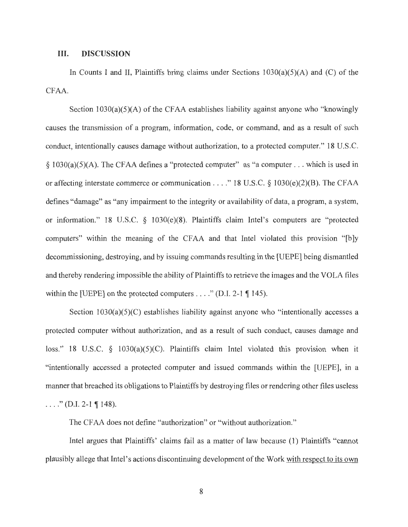#### III. **DISCUSSION**

In Counts I and II, Plaintiffs bring claims under Sections  $1030(a)(5)(A)$  and (C) of the CFAA.

Section  $1030(a)(5)(A)$  of the CFAA establishes liability against anyone who "knowingly causes the transmission of a program, information, code, or command, and as a result of such conduct, intentionally causes damage without authorization, to a protected computer." 18 U.S.C.  $§ 1030(a)(5)(A)$ . The CFAA defines a "protected computer" as "a computer . . . which is used in or affecting interstate commerce or communication .. .. " 18 U.S.C. § 1030(e)(2)(B). The CFAA defines "damage" as "any impairment to the integrity or availability of data, a program, a system, or information." 18 U.S.C. § 1030(e)(8). Plaintiffs claim Intel's computers are "protected computers" within the meaning of the CFAA and that Intel violated this provision "[b]y decommissioning, destroying, and by issuing commands resulting in the [UEPE] being dismantled and thereby rendering impossible the ability of Plaintiffs to retrieve the images and the VOLA files within the [UEPE] on the protected computers . . . . " (D.I. 2-1  $\P$  145).

Section 1030(a)(5)(C) establishes liability against anyone who "intentionally accesses a protected computer without authorization, and as a result of such conduct, causes damage and loss." 18 U.S.C. § 1030(a)(5)(C). Plaintiffs claim Intel violated this provision when it "intentionally accessed a protected computer and issued commands within the [UEPE], in a manner that breached its obligations to Plaintiffs by destroying files or rendering other files useless  $\ldots$  " (D.I. 2-1 ¶ 148).

The CFAA does not define "authorization" or "without authorization."

Intel argues that Plaintiffs' claims fail as a matter of law because (1) Plaintiffs "cannot plausibly allege that Intel's actions discontinuing development of the Work with respect to its own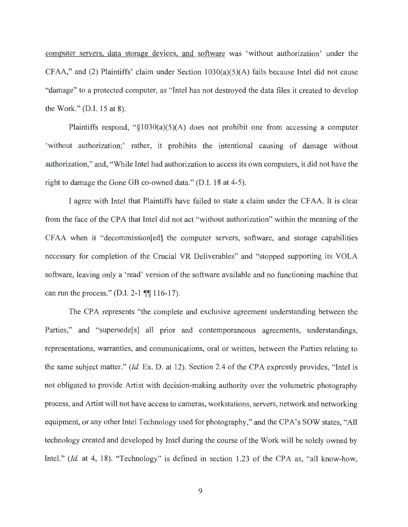computer servers, data storage devices, and software was 'without authorization' under the  $CFAA$ ," and (2) Plaintiffs' claim under Section  $1030(a)(5)(A)$  fails because Intel did not cause "damage" to a protected computer, as "Intel has not destroyed the data files it created to develop the Work." (D.I. 15 at 8).

Plaintiffs respond, " $\S1030(a)(5)(A)$  does not prohibit one from accessing a computer 'without authorization;' rather, it prohibits the intentional causing of damage without authorization," and, "While Intel had authorization to access its own computers, it did not have the right to damage the Gone GB co-owned data." (D.I. 18 at 4-5).

I agree with Intel that Plaintiffs have failed to state a claim under the CF AA. It is clear from the face of the CPA that Intel did not act "without authorization" within the meaning of the CFAA when it "decommission[ed] the computer servers, software, and storage capabilities necessary for completion of the Crucial VR Deliverables" and "stopped supporting its VOLA software, leaving only a 'read' version of the software available and no functioning machine that can run the process." (D.I. 2-1 ¶¶ 116-17).

The CPA represents "the complete and exclusive agreement understanding between the Parties," and "supersede<sup>[5]</sup> all prior and contemporaneous agreements, understandings, representations, warranties, and communications, oral or written, between the Parties relating to the same subject matter." *(Id.* Ex. D. at 12). Section 2.4 of the CPA expressly provides, "Intel is not obligated to provide Artist with decision-making authority over the volumetric photography process, and Artist will not have access to cameras, workstations, servers, network and networking equipment, or any other Intel Technology used for photography," and the CPA's SOW states, "All technology created and developed by Intel during the course of the Work will be solely owned by Intel." *(Id. at 4, 18).* "Technology" is defined in section 1.23 of the CPA as, "all know-how,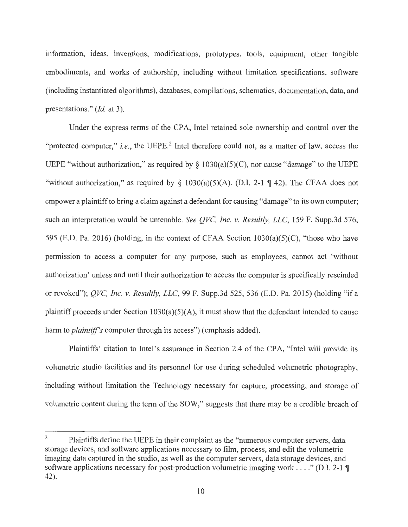information, ideas, inventions, modifications, prototypes, tools, equipment, other tangible embodiments, and works of authorship, including without limitation specifications, software (including instantiated algorithms), databases, compilations, schematics, documentation, data, and presentations." *(Id.* at 3).

Under the express terms of the CPA, Intel retained sole ownership and control over the "protected computer," *i.e.*, the UEPE.<sup>2</sup> Intel therefore could not, as a matter of law, access the UEPE "without authorization," as required by  $\S$  1030(a)(5)(C), nor cause "damage" to the UEPE "without authorization," as required by  $\S$  1030(a)(5)(A). (D.I. 2-1 ¶ 42). The CFAA does not empower a plaintiff to bring a claim against a defendant for causing "damage" to its own computer; such an interpretation would be untenable. *See QVC, Inc. v. Resultly, LLC,* 159 F. Supp.3d 576, 595 (E.D. Pa. 2016) (holding, in the context of CFAA Section 1030(a)(5)(C), "those who have permission to access a computer for any purpose, such as employees, cannot act 'without authorization' unless and until their authorization to access the computer is specifically rescinded or revoked"); *QVC, Inc. v. Resultly, LLC,* 99 F. Supp.3d 525, 536 (E.D. Pa. 2015) (holding "if a plaintiff proceeds under Section  $1030(a)(5)(A)$ , it must show that the defendant intended to cause harm to *plaintiff's* computer through its access") (emphasis added).

Plaintiffs' citation to Intel's assurance in Section 2.4 of the CPA, "Intel will provide its volumetric studio facilities and its personnel for use during scheduled volumetric photography, including without limitation the Technology necessary for capture, processing, and storage of volumetric content during the term of the SOW," suggests that there may be a credible breach of

<sup>&</sup>lt;sup>2</sup> Plaintiffs define the UEPE in their complaint as the "numerous computer servers, data storage devices, and software applications necessary to film, process, and edit the volumetric imaging data captured in the studio, as well as the computer servers, data storage devices, and software applications necessary for post-production volumetric imaging work .... " (D.I. 2-1 **1**  42).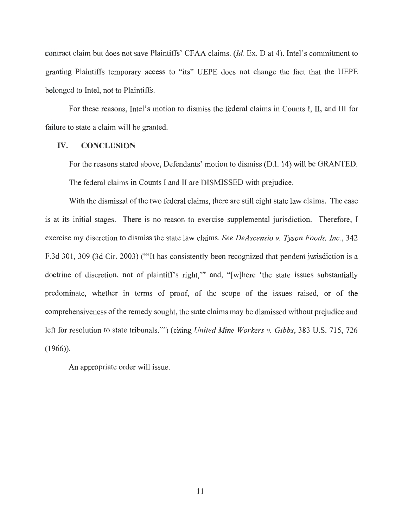contract claim but does not save Plaintiffs' CFAA claims. *(Id.* Ex. D at 4). Intel's commitment to granting Plaintiffs temporary access to "its" UEPE does not change the fact that the UEPE belonged to Intel, not to Plaintiffs.

For these reasons, Intel's motion to dismiss the federal claims in Counts I, II, and III for failure to state a claim will be granted.

### **IV. CONCLUSION**

For the reasons stated above, Defendants' motion to dismiss (D.I. 14) will be GRANTED. The federal claims in Counts I and II are DISMISSED with prejudice.

With the dismissal of the two federal claims, there are still eight state law claims. The case is at its initial stages. There is no reason to exercise supplemental jurisdiction. Therefore, I exercise my discretion to dismiss the state law claims. *See DeAscensio v. Tyson Foods, Inc.,* 342 F.3d 301, 309 (3d Cir. 2003) ("'It has consistently been recognized that pendent jurisdiction is a doctrine of discretion, not of plaintiff's right," and, "[w]here 'the state issues substantially predominate, whether in terms of proof, of the scope of the issues raised, or of the comprehensiveness of the remedy sought, the state claims may be dismissed without prejudice and left for resolution to state tribunals."') (citing *United Mine Workers v. Gibbs,* 383 U.S. 715, 726  $(1966)$ ).

An appropriate order will issue.